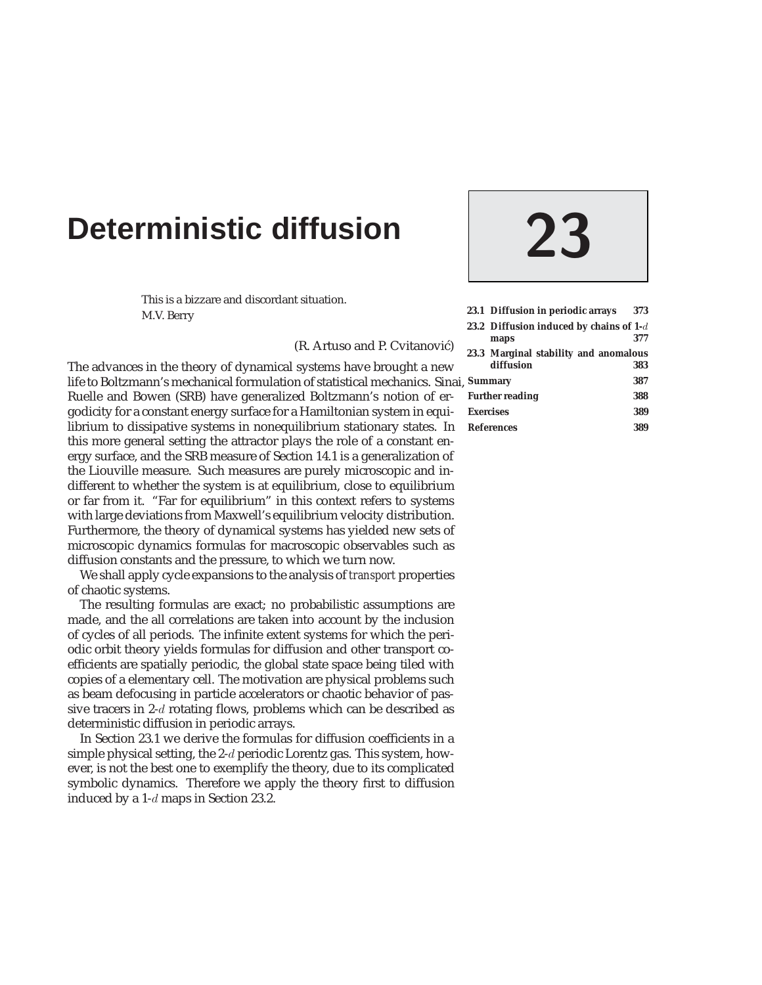# **Deterministic diffusion 23**

This is a bizzare and discordant situation. M.V. Berry

(R. Artuso and P. Cvitanović)

The advances in the theory of dynamical systems have brought a new life to Boltzmann's mechanical formulation of statistical mechanics. Sinai, S Ruelle and Bowen (SRB) have generalized Boltzmann's notion of ergodicity for a constant energy surface for a Hamiltonian system in equilibrium to dissipative systems in nonequilibrium stationary states. In this more general setting the attractor plays the role of a constant energy surface, and the SRB measure of Section 14.1 is a generalization of the Liouville measure. Such measures are purely microscopic and indifferent to whether the system is at equilibrium, close to equilibrium or far from it. "Far for equilibrium" in this context refers to systems with large deviations from Maxwell's equilibrium velocity distribution. Furthermore, the theory of dynamical systems has yielded new sets of microscopic dynamics formulas for macroscopic observables such as diffusion constants and the pressure, to which we turn now.

We shall apply cycle expansions to the analysis of *transport* properties of chaotic systems.

The resulting formulas are exact; no probabilistic assumptions are made, and the all correlations are taken into account by the inclusion of cycles of all periods. The infinite extent systems for which the periodic orbit theory yields formulas for diffusion and other transport coefficients are spatially periodic, the global state space being tiled with copies of a elementary cell. The motivation are physical problems such as beam defocusing in particle accelerators or chaotic behavior of passive tracers in 2-d rotating flows, problems which can be described as deterministic diffusion in periodic arrays.

In Section 23.1 we derive the formulas for diffusion coefficients in a simple physical setting, the 2-d periodic Lorentz gas. This system, however, is not the best one to exemplify the theory, due to its complicated symbolic dynamics. Therefore we apply the theory first to diffusion induced by a 1-d maps in Section 23.2.

|                        | 23.1 Diffusion in periodic arrays         | 373 |
|------------------------|-------------------------------------------|-----|
|                        | 23.2 Diffusion induced by chains of $1-d$ |     |
|                        | maps                                      | 377 |
|                        | 23.3 Marginal stability and anomalous     |     |
|                        | diffusion                                 | 383 |
| <b>Summary</b>         |                                           | 387 |
| <b>Further reading</b> |                                           | 388 |
| <b>Exercises</b>       |                                           | 389 |
| <b>References</b>      |                                           | 389 |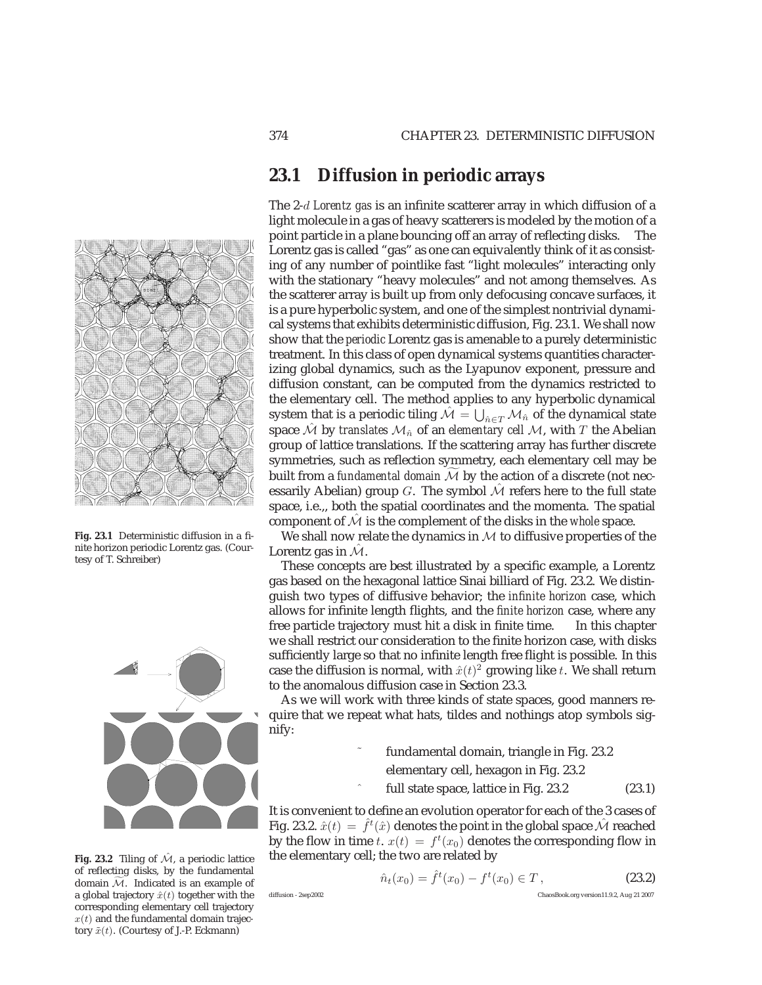## **23.1 Diffusion in periodic arrays**

light molecule in a gas of heavy scatterers is modeled by the motion of a point particle in a plane bouncing off an array of reflecting disks. The Lorentz gas is called "gas" as one can equivalently think of it as consisting of any number of pointlike fast "light molecules" interacting only with the stationary "heavy molecules" and not among themselves. As the scatterer array is built up from only defocusing concave surfaces, it is a pure hyperbolic system, and one of the simplest nontrivial dynamical systems that exhibits deterministic diffusion, Fig. 23.1. We shall now show that the *periodic* Lorentz gas is amenable to a purely deterministic treatment. In this class of open dynamical systems quantities characterizing global dynamics, such as the Lyapunov exponent, pressure and diffusion constant, can be computed from the dynamics restricted to the elementary cell. The method applies to any hyperbolic dynamical system that is a periodic tiling  $\hat{\mathcal{M}} = \bigcup_{\hat{n} \in T} \mathcal{M}_{\hat{n}}$  of the dynamical state space  $\hat{\mathcal{M}}$  by *translates*  $\mathcal{M}_{\hat{n}}$  of an *elementary cell*  $\mathcal{M}$ , with T the Abelian group of lattice translations. If the scattering array has further discrete symmetries, such as reflection symmetry, each elementary cell may be built from a *fundamental domain* M by the action of a discrete (not necessarily Abelian) group G. The symbol  $\hat{\mathcal{M}}$  refers here to the full state space, i.e.,, both the spatial coordinates and the momenta. The spatial component of  $\hat{\mathcal{M}}$  is the complement of the disks in the *whole* space.

The 2-d *Lorentz gas* is an infinite scatterer array in which diffusion of a

We shall now relate the dynamics in  $M$  to diffusive properties of the Lorentz gas in  $\mathcal{M}$ .

These concepts are best illustrated by a specific example, a Lorentz gas based on the hexagonal lattice Sinai billiard of Fig. 23.2. We distinguish two types of diffusive behavior; the *infinite horizon* case, which allows for infinite length flights, and the *finite horizon* case, where any free particle trajectory must hit a disk in finite time. In this chapter we shall restrict our consideration to the finite horizon case, with disks sufficiently large so that no infinite length free flight is possible. In this case the diffusion is normal, with  $\hat{x}(t)^2$  growing like t. We shall return to the anomalous diffusion case in Section 23.3.

As we will work with three kinds of state spaces, good manners require that we repeat what hats, tildes and nothings atop symbols signify:

- fundamental domain, triangle in Fig. 23.2 elementary cell, hexagon in Fig. 23.2
- full state space, lattice in Fig.  $23.2$  (23.1)

It is convenient to define an evolution operator for each of the 3 cases of Fig. 23.2.  $\hat{x}(t) = \hat{f}^t(\hat{x})$  denotes the point in the global space  $\hat{\mathcal{M}}$  reached by the flow in time t.  $x(t) = f^t(x_0)$  denotes the corresponding flow in the elementary cell; the two are related by

$$
if function 2con 2002
$$

$$
\hat{n}_t(x_0) = \hat{f}^t(x_0) - f^t(x_0) \in T, \qquad (23.2)
$$

$$
(x_0) = f^t(x_0) - f^t(x_0) \in T, \qquad (23.2)
$$

ChaosBook.org version11.9.2, Aug 21 2007

of reflecting disks, by the fundamental domain  $\mathcal M$ . Indicated is an example of a global trajectory  $\hat{x}(t)$  together with the



**Fig. 23.2** Tiling of  $\hat{\mathcal{M}}$ , a periodic lattice

corresponding elementary cell trajectory  $x(t)$  and the fundamental domain trajectory  $\tilde{x}(t)$ . (Courtesy of J.-P. Eckmann)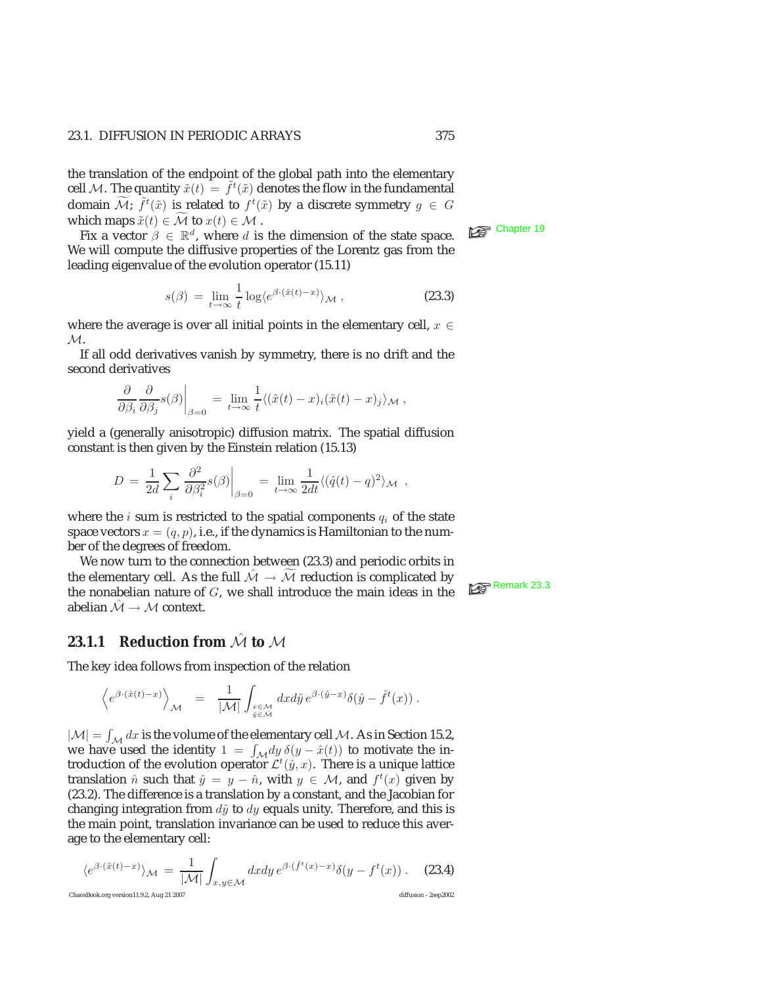#### 23.1. DIFFUSION IN PERIODIC ARRAYS 375

the translation of the endpoint of the global path into the elementary cell M. The quantity  $\tilde{x}(t) = \tilde{f}^t(\tilde{x})$  denotes the flow in the fundamental domain  $\widetilde{\mathcal{M}}$ ;  $\widetilde{f}^t(\tilde{x})$  is related to  $f^t(\tilde{x})$  by a discrete symmetry  $g \in G$ which maps  $\tilde{x}(t) \in \mathcal{M}$  to  $x(t) \in \mathcal{M}$ .<br>Fix a vector  $\beta \in \mathbb{R}^d$ , where d is the dimension of the state space.  $\mathbb{R}^d$  Chapter 19

We will compute the diffusive properties of the Lorentz gas from the leading eigenvalue of the evolution operator (15.11)

$$
s(\beta) = \lim_{t \to \infty} \frac{1}{t} \log \langle e^{\beta \cdot (\hat{x}(t) - x)} \rangle_{\mathcal{M}} , \qquad (23.3)
$$

where the average is over all initial points in the elementary cell,  $x \in$  $\mathcal{M}.$ 

If all odd derivatives vanish by symmetry, there is no drift and the second derivatives

$$
\left. \frac{\partial}{\partial \beta_i} \frac{\partial}{\partial \beta_j} s(\beta) \right|_{\beta=0} = \lim_{t \to \infty} \frac{1}{t} \langle (\hat{x}(t) - x)_i (\hat{x}(t) - x)_j \rangle_{\mathcal{M}},
$$

yield a (generally anisotropic) diffusion matrix. The spatial diffusion constant is then given by the Einstein relation (15.13)

$$
D = \frac{1}{2d} \sum_{i} \frac{\partial^2}{\partial \beta_i^2} s(\beta) \Big|_{\beta=0} = \lim_{t \to \infty} \frac{1}{2dt} \langle (\hat{q}(t) - q)^2 \rangle_{\mathcal{M}} ,
$$

where the *i* sum is restricted to the spatial components  $q_i$  of the state space vectors  $x = (q, p)$ , i.e., if the dynamics is Hamiltonian to the number of the degrees of freedom.

We now turn to the connection between (23.3) and periodic orbits in the elementary cell. As the full  $\hat{\mathcal{M}} \to \widetilde{\mathcal{M}}$  reduction is complicated by the nonabelian nature of G, we shall introduce the main ideas in the  $\widehat{\mathbb{R}}$ <sup>Remark 23.3</sup> abelian  $\hat{\mathcal{M}} \rightarrow \mathcal{M}$  context.

#### **23.1.1 Reduction from**  $\hat{\mathcal{M}}$  **to**  $\hat{\mathcal{M}}$

The key idea follows from inspection of the relation

$$
\left\langle e^{\beta\cdot(\hat{x}(t)-x)}\right\rangle_{\mathcal{M}}\;\;=\;\;\frac{1}{|\mathcal{M}|}\int_{\substack{x\in\mathcal{M}\\ \hat{y}\in\mathcal{M}}}\,dxd\hat{y}\,e^{\beta\cdot(\hat{y}-x)}\delta(\hat{y}-\hat{f}^{t}(x))\;.
$$

 $|\mathcal{M}| = \int_{\mathcal{M}} dx$  is the volume of the elementary cell  $\mathcal{M}$ . As in Section 15.2, we have used the identity  $1 = \int_{\mathcal{M}} dy \, \delta(y - \hat{x}(t))$  to motivate the introduction of the evolution operator  $\mathcal{L}^t(\hat{y},x)$ . There is a unique lattice translation  $\hat{n}$  such that  $\hat{y} = y - \hat{n}$ , with  $y \in M$ , and  $f^t(x)$  given by (23.2). The difference is a translation by a constant, and the Jacobian for changing integration from  $d\hat{y}$  to  $dy$  equals unity. Therefore, and this is the main point, translation invariance can be used to reduce this average to the elementary cell:

$$
\langle e^{\beta \cdot (\hat{x}(t)-x)} \rangle_{\mathcal{M}} = \frac{1}{|\mathcal{M}|} \int_{x,y \in \mathcal{M}} dx dy \, e^{\beta \cdot (\hat{f}^t(x)-x)} \delta(y-f^t(x)) \,. \tag{23.4}
$$
  
\nChassBook.org version11.9.2, Aug 21 2007  
\ndiffusion - 2sep2002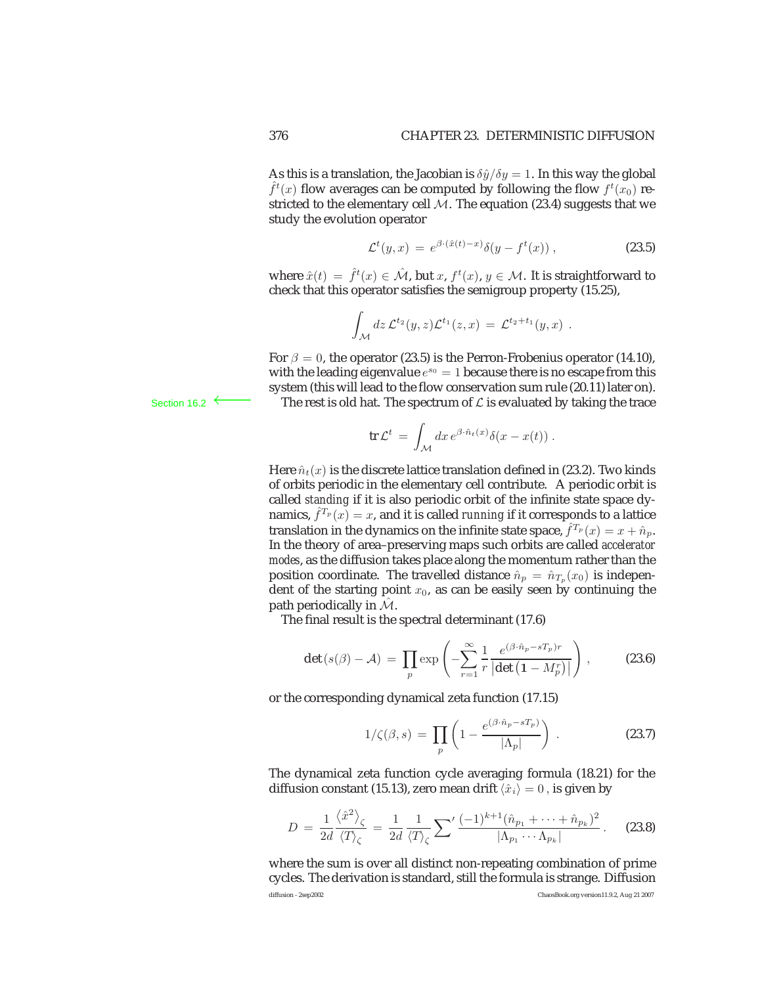As this is a translation, the Jacobian is  $\delta \hat{y}/\delta y = 1$ . In this way the global  $\hat{f}^t(x)$  flow averages can be computed by following the flow  $f^t(x_0)$  restricted to the elementary cell  $M$ . The equation (23.4) suggests that we study the evolution operator

$$
\mathcal{L}^t(y,x) = e^{\beta \cdot (\hat{x}(t)-x)} \delta(y - f^t(x)), \qquad (23.5)
$$

where  $\hat{x}(t) = \hat{f}^t(x) \in \hat{\mathcal{M}}$ , but  $x, f^t(x), y \in \mathcal{M}$ . It is straightforward to check that this operator satisfies the semigroup property (15.25),

$$
\int_{\mathcal{M}} dz \, \mathcal{L}^{t_2}(y, z) \mathcal{L}^{t_1}(z, x) = \mathcal{L}^{t_2 + t_1}(y, x) .
$$

For  $\beta = 0$ , the operator (23.5) is the Perron-Frobenius operator (14.10), with the leading eigenvalue  $e^{s_0} = 1$  because there is no escape from this system (this will lead to the flow conservation sum rule (20.11) later on). Section 16.2 ← The rest is old hat. The spectrum of  $\mathcal L$  is evaluated by taking the trace

$$
\operatorname{tr} \mathcal{L}^t \,=\, \int_{\mathcal{M}} dx \, e^{\beta \cdot \hat{n}_t(x)} \delta(x-x(t)) \; .
$$

Here  $\hat{n}_t(x)$  is the discrete lattice translation defined in (23.2). Two kinds of orbits periodic in the elementary cell contribute. A periodic orbit is called *standing* if it is also periodic orbit of the infinite state space dynamics,  $\hat{f}^{T_p}(x) = x$ , and it is called *running* if it corresponds to a lattice translation in the dynamics on the infinite state space,  $\hat{f}^{T_p}(x) = x + \hat{n}_p$ . In the theory of area–preserving maps such orbits are called *accelerator modes*, as the diffusion takes place along the momentum rather than the position coordinate. The travelled distance  $\hat{n}_p = \hat{n}_{T_p}(x_0)$  is independent of the starting point  $x_0$ , as can be easily seen by continuing the path periodically in  $\mathcal{M}$ .

The final result is the spectral determinant (17.6)

$$
\det\left(s(\beta)-\mathcal{A}\right) \,=\, \prod_{p} \exp\left(-\sum_{r=1}^{\infty} \frac{1}{r} \frac{e^{(\beta \cdot \hat{n}_p - sT_p)r}}{\left|\det\left(1 - M_p^r\right)\right|}\right) \,,\tag{23.6}
$$

or the corresponding dynamical zeta function (17.15)

$$
1/\zeta(\beta,s) = \prod_{p} \left(1 - \frac{e^{(\beta \cdot \hat{n}_p - sT_p)}}{|\Lambda_p|}\right). \tag{23.7}
$$

The dynamical zeta function cycle averaging formula (18.21) for the diffusion constant (15.13), zero mean drift  $\langle \hat{x}_i \rangle = 0$ , is given by

$$
D = \frac{1}{2d} \frac{\langle \hat{x}^2 \rangle_{\zeta}}{\langle T \rangle_{\zeta}} = \frac{1}{2d} \frac{1}{\langle T \rangle_{\zeta}} \sum' \frac{(-1)^{k+1} (\hat{n}_{p_1} + \dots + \hat{n}_{p_k})^2}{|\Lambda_{p_1} \cdots \Lambda_{p_k}|}.
$$
 (23.8)

where the sum is over all distinct non-repeating combination of prime cycles. The derivation is standard, still the formula is strange. Diffusion diffusion - 2sep2002 ChaosBook.org version11.9.2, Aug 21 2007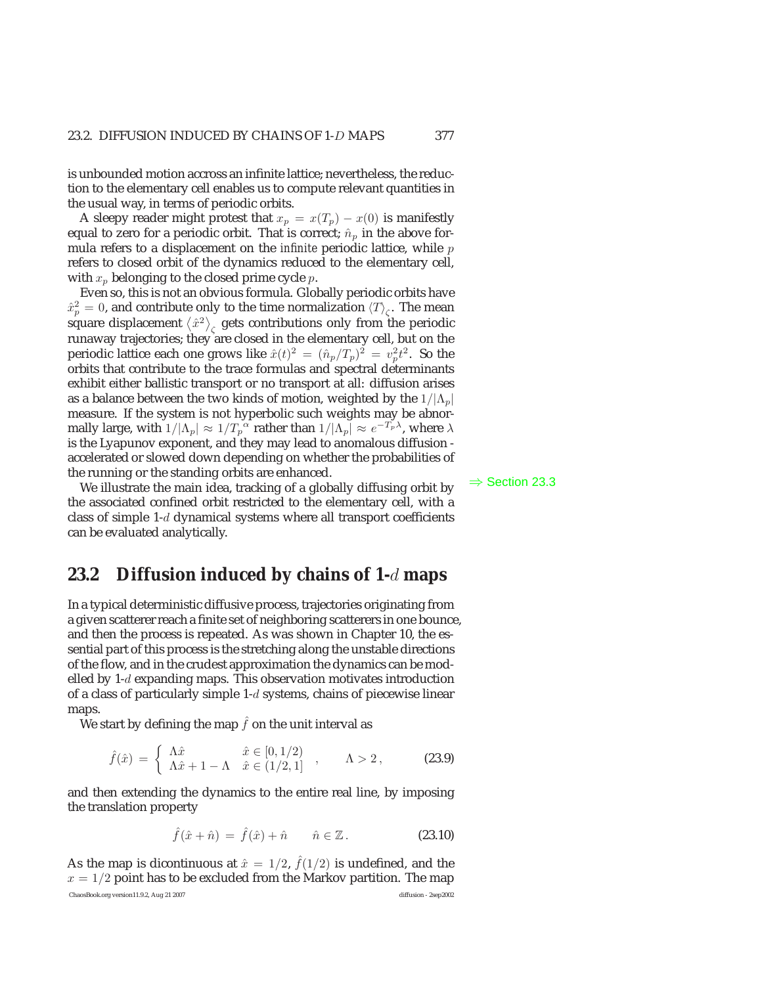is unbounded motion accross an infinite lattice; nevertheless, the reduction to the elementary cell enables us to compute relevant quantities in the usual way, in terms of periodic orbits.

A sleepy reader might protest that  $x_p = x(T_p) - x(0)$  is manifestly equal to zero for a periodic orbit. That is correct;  $\hat{n}_p$  in the above formula refers to a displacement on the *infinite* periodic lattice, while p refers to closed orbit of the dynamics reduced to the elementary cell, with  $x_p$  belonging to the closed prime cycle p.

Even so, this is not an obvious formula. Globally periodic orbits have  $\hat{x}_p^2 = 0$ , and contribute only to the time normalization  $\langle T \rangle_{\zeta}$ . The mean square displacement  $\left\langle \hat{x}^{2}\right\rangle _{\zeta}$  gets contributions only from the periodic runaway trajectories; they are closed in the elementary cell, but on the periodic lattice each one grows like  $\hat{x}(t)^2 = (\hat{n}_p/T_p)^2 = v_p^2 t^2$ . So the orbits that contribute to the trace formulas and spectral determinants exhibit either ballistic transport or no transport at all: diffusion arises as a balance between the two kinds of motion, weighted by the  $1/|\Lambda_p|$ measure. If the system is not hyperbolic such weights may be abnormally large, with  $1/|\Lambda_p| \approx 1/T_p^{\alpha}$  rather than  $1/|\Lambda_p| \approx e^{-T_p\lambda}$ , where  $\lambda$ is the Lyapunov exponent, and they may lead to anomalous diffusion accelerated or slowed down depending on whether the probabilities of the running or the standing orbits are enhanced.

We illustrate the main idea, tracking of a globally diffusing orbit by  $\Rightarrow$  Section 23.3 the associated confined orbit restricted to the elementary cell, with a class of simple 1-d dynamical systems where all transport coefficients can be evaluated analytically.

#### **23.2 Diffusion induced by chains of 1-***d* **maps**

In a typical deterministic diffusive process, trajectories originating from a given scatterer reach a finite set of neighboring scatterers in one bounce, and then the process is repeated. As was shown in Chapter 10, the essential part of this process is the stretching along the unstable directions of the flow, and in the crudest approximation the dynamics can be modelled by 1-d expanding maps. This observation motivates introduction of a class of particularly simple 1-d systems, chains of piecewise linear maps.

We start by defining the map  $\hat{f}$  on the unit interval as

$$
\hat{f}(\hat{x}) = \begin{cases} \Lambda \hat{x} & \hat{x} \in [0, 1/2) \\ \Lambda \hat{x} + 1 - \Lambda & \hat{x} \in (1/2, 1] \end{cases}, \quad \Lambda > 2, \quad (23.9)
$$

and then extending the dynamics to the entire real line, by imposing the translation property

$$
\hat{f}(\hat{x} + \hat{n}) = \hat{f}(\hat{x}) + \hat{n} \qquad \hat{n} \in \mathbb{Z}.
$$
 (23.10)

As the map is dicontinuous at  $\hat{x} = 1/2$ ,  $\hat{f}(1/2)$  is undefined, and the  $x = 1/2$  point has to be excluded from the Markov partition. The map ChaosBook.org version11.9.2, Aug 21 2007 diffusion - 2sep2002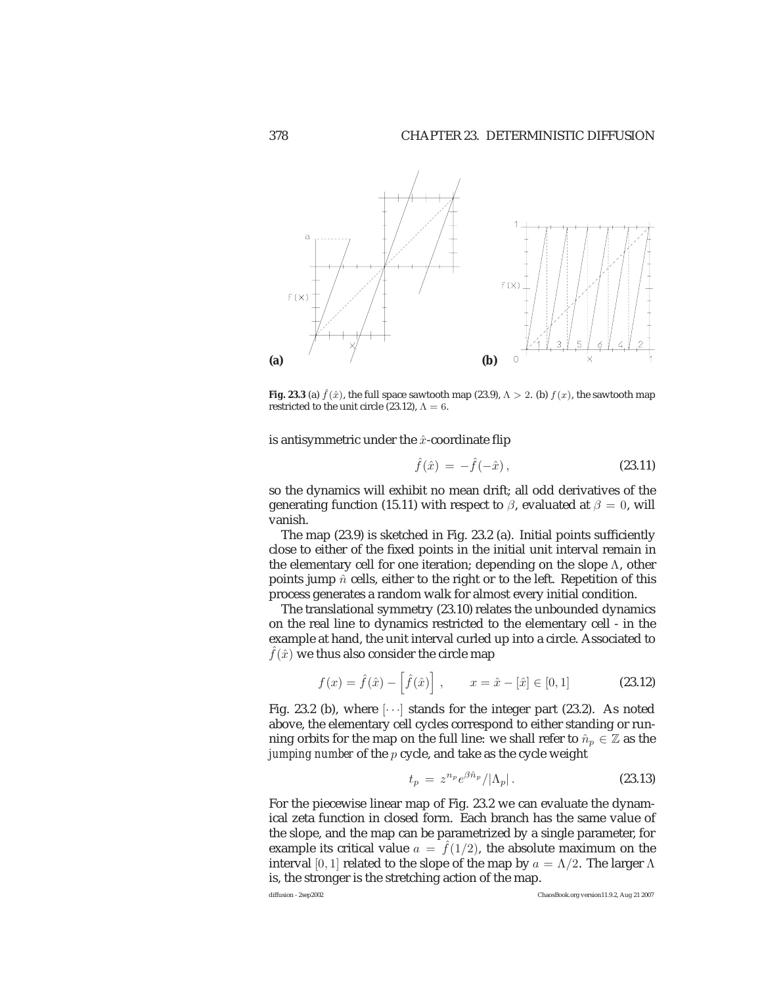

**Fig. 23.3** (a)  $\hat{f}(\hat{x})$ , the full space sawtooth map (23.9),  $\Lambda > 2$ . (b)  $f(x)$ , the sawtooth map restricted to the unit circle (23.12),  $\Lambda = 6$ restricted to the unit circle (23.12),  $\Lambda = 6$ .

is antisymmetric under the  $\hat{x}$ -coordinate flip

$$
\hat{f}(\hat{x}) = -\hat{f}(-\hat{x}), \tag{23.11}
$$

so the dynamics will exhibit no mean drift; all odd derivatives of the generating function (15.11) with respect to  $\beta$ , evaluated at  $\beta = 0$ , will vanish.

The map (23.9) is sketched in Fig. 23.2 (a). Initial points sufficiently close to either of the fixed points in the initial unit interval remain in the elementary cell for one iteration; depending on the slope  $\Lambda$ , other points jump  $\hat{n}$  cells, either to the right or to the left. Repetition of this process generates a random walk for almost every initial condition.

The translational symmetry (23.10) relates the unbounded dynamics on the real line to dynamics restricted to the elementary cell - in the example at hand, the unit interval curled up into a circle. Associated to  $\hat{f}(\hat{x})$  we thus also consider the circle map

$$
f(x) = \hat{f}(\hat{x}) - \left[\hat{f}(\hat{x})\right], \qquad x = \hat{x} - [\hat{x}] \in [0, 1]
$$
 (23.12)

Fig. 23.2 (b), where  $\lceil \cdots \rceil$  stands for the integer part (23.2). As noted above, the elementary cell cycles correspond to either standing or running orbits for the map on the full line: we shall refer to  $\hat{n}_p \in \mathbb{Z}$  as the *jumping number* of the p cycle, and take as the cycle weight

$$
t_p = z^{n_p} e^{\beta \hat{n}_p} / |\Lambda_p| \,. \tag{23.13}
$$

For the piecewise linear map of Fig. 23.2 we can evaluate the dynamical zeta function in closed form. Each branch has the same value of the slope, and the map can be parametrized by a single parameter, for example its critical value  $a = \hat{f}(1/2)$ , the absolute maximum on the interval [0, 1] related to the slope of the map by  $a = \Lambda/2$ . The larger  $\Lambda$ is, the stronger is the stretching action of the map.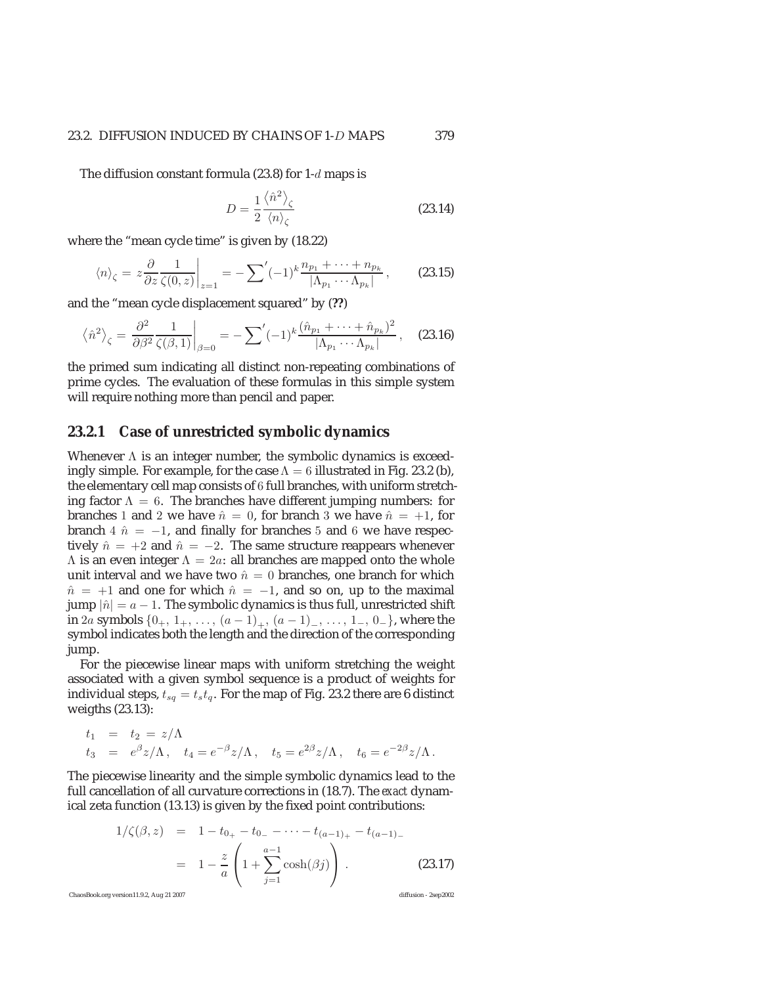#### 23.2. DIFFUSION INDUCED BY CHAINS OF 1-D MAPS 379

The diffusion constant formula (23.8) for 1-d maps is

$$
D = \frac{1}{2} \frac{\langle \hat{n}^2 \rangle_{\zeta}}{\langle n \rangle_{\zeta}}
$$
 (23.14)

where the "mean cycle time" is given by (18.22)

$$
\langle n \rangle_{\zeta} = z \frac{\partial}{\partial z} \frac{1}{\zeta(0, z)} \bigg|_{z=1} = -\sum' (-1)^k \frac{n_{p_1} + \dots + n_{p_k}}{|\Lambda_{p_1} \cdots \Lambda_{p_k}|}, \qquad (23.15)
$$

and the "mean cycle displacement squared" by (**??**)

$$
\left\langle \hat{n}^2 \right\rangle_{\zeta} = \left. \frac{\partial^2}{\partial \beta^2} \frac{1}{\zeta(\beta, 1)} \right|_{\beta=0} = -\sum' (-1)^k \frac{(\hat{n}_{p_1} + \dots + \hat{n}_{p_k})^2}{|\Lambda_{p_1} \cdots \Lambda_{p_k}|}, \quad (23.16)
$$

the primed sum indicating all distinct non-repeating combinations of prime cycles. The evaluation of these formulas in this simple system will require nothing more than pencil and paper.

#### **23.2.1 Case of unrestricted symbolic dynamics**

Whenever Λ is an integer number, the symbolic dynamics is exceedingly simple. For example, for the case  $\Lambda = 6$  illustrated in Fig. 23.2 (b), the elementary cell map consists of 6 full branches, with uniform stretching factor  $\Lambda = 6$ . The branches have different jumping numbers: for branches 1 and 2 we have  $\hat{n} = 0$ , for branch 3 we have  $\hat{n} = +1$ , for branch 4  $\hat{n} = -1$ , and finally for branches 5 and 6 we have respectively  $\hat{n} = +2$  and  $\hat{n} = -2$ . The same structure reappears whenever  $Λ$  is an even integer  $Λ = 2a$ : all branches are mapped onto the whole unit interval and we have two  $\hat{n} = 0$  branches, one branch for which  $n̄ = +1$  and one for which  $ñ = -1$ , and so on, up to the maximal jump  $|\hat{n}| = a - 1$ . The symbolic dynamics is thus full, unrestricted shift in 2a symbols  $\{0_+, 1_+, \ldots, (a-1)_+, (a-1)_-, \ldots, 1_-, 0_-\}$ , where the symbol indicates both the length and the direction of the corresponding jump.

For the piecewise linear maps with uniform stretching the weight associated with a given symbol sequence is a product of weights for individual steps,  $t_{sq} = t_s t_q.$  For the map of Fig. 23.2 there are 6 distinct weigths (23.13):

$$
t_1 = t_2 = z/\Lambda
$$
  
\n $t_3 = e^{\beta}z/\Lambda$ ,  $t_4 = e^{-\beta}z/\Lambda$ ,  $t_5 = e^{2\beta}z/\Lambda$ ,  $t_6 = e^{-2\beta}z/\Lambda$ .

The piecewise linearity and the simple symbolic dynamics lead to the full cancellation of all curvature corrections in (18.7). The *exact* dynamical zeta function (13.13) is given by the fixed point contributions:

$$
1/\zeta(\beta, z) = 1 - t_{0+} - t_{0-} - \dots - t_{(a-1)+} - t_{(a-1)-}
$$
  
= 
$$
1 - \frac{z}{a} \left( 1 + \sum_{j=1}^{a-1} \cosh(\beta j) \right).
$$
 (23.17)  
ChaosBook.org version11.9.2, Aug 21 2007 (diffusion - 2sep2002)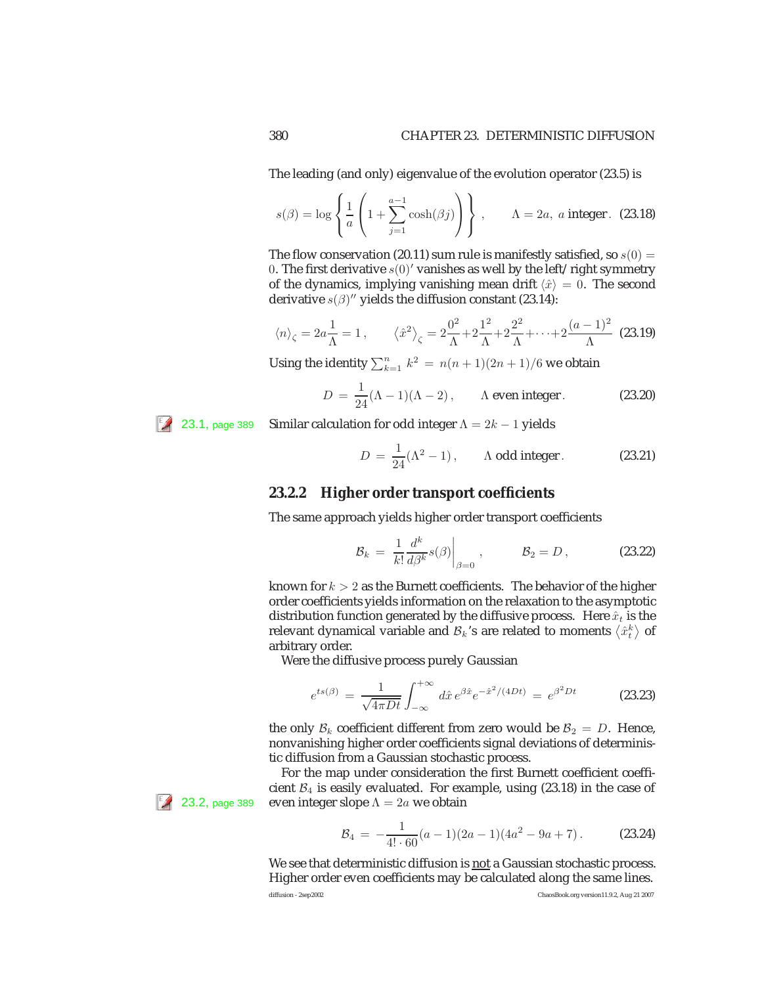The leading (and only) eigenvalue of the evolution operator (23.5) is

$$
s(\beta) = \log \left\{ \frac{1}{a} \left( 1 + \sum_{j=1}^{a-1} \cosh(\beta j) \right) \right\}, \qquad \Lambda = 2a, \ a \ \text{integer.} \tag{23.18}
$$

The flow conservation (20.11) sum rule is manifestly satisfied, so  $s(0)$  = 0. The first derivative  $s(0)'$  vanishes as well by the left/right symmetry of the dynamics, implying vanishing mean drift  $\langle \hat{x} \rangle = 0$ . The second derivative  $s(\beta)$ " yields the diffusion constant (23.14):

$$
\langle n \rangle_{\zeta} = 2a \frac{1}{\Lambda} = 1
$$
,  $\langle \hat{x}^2 \rangle_{\zeta} = 2 \frac{0^2}{\Lambda} + 2 \frac{1^2}{\Lambda} + 2 \frac{2^2}{\Lambda} + \dots + 2 \frac{(a-1)^2}{\Lambda}$  (23.19)

Using the identity  $\sum_{k=1}^{n} k^2 = n(n+1)(2n+1)/6$  we obtain

$$
D = \frac{1}{24}(\Lambda - 1)(\Lambda - 2), \qquad \Lambda \text{ even integer.} \tag{23.20}
$$

<sup>[2</sup> 23.1, page 389 Similar calculation for odd integer  $\Lambda = 2k - 1$  yields

$$
D = \frac{1}{24}(\Lambda^2 - 1), \qquad \Lambda \text{ odd integer.} \tag{23.21}
$$

#### **23.2.2 Higher order transport coefficients**

The same approach yields higher order transport coefficients

$$
\mathcal{B}_k = \left. \frac{1}{k!} \frac{d^k}{d\beta^k} s(\beta) \right|_{\beta=0}, \qquad \mathcal{B}_2 = D, \qquad (23.22)
$$

known for  $k > 2$  as the Burnett coefficients. The behavior of the higher order coefficients yields information on the relaxation to the asymptotic distribution function generated by the diffusive process. Here  $\hat{x}_t$  is the relevant dynamical variable and  ${\cal B}_k$ 's are related to moments  $\left\langle \hat{x}_t^k\right\rangle$  of arbitrary order.

Were the diffusive process purely Gaussian

$$
e^{ts(\beta)} = \frac{1}{\sqrt{4\pi Dt}} \int_{-\infty}^{+\infty} d\hat{x} e^{\beta \hat{x}} e^{-\hat{x}^2/(4Dt)} = e^{\beta^2 Dt}
$$
 (23.23)

the only  $\mathcal{B}_k$  coefficient different from zero would be  $\mathcal{B}_2 = D$ . Hence, nonvanishing higher order coefficients signal deviations of deterministic diffusion from a Gaussian stochastic process.

For the map under consideration the first Burnett coefficient coefficient  $B_4$  is easily evaluated. For example, using (23.18) in the case of **23.2**, page 389 even integer slope  $\Lambda = 2a$  we obtain

$$
B_4 = -\frac{1}{4! \cdot 60} (a-1)(2a-1)(4a^2 - 9a + 7).
$$
 (23.24)

We see that deterministic diffusion is not a Gaussian stochastic process. Higher order even coefficients may be calculated along the same lines.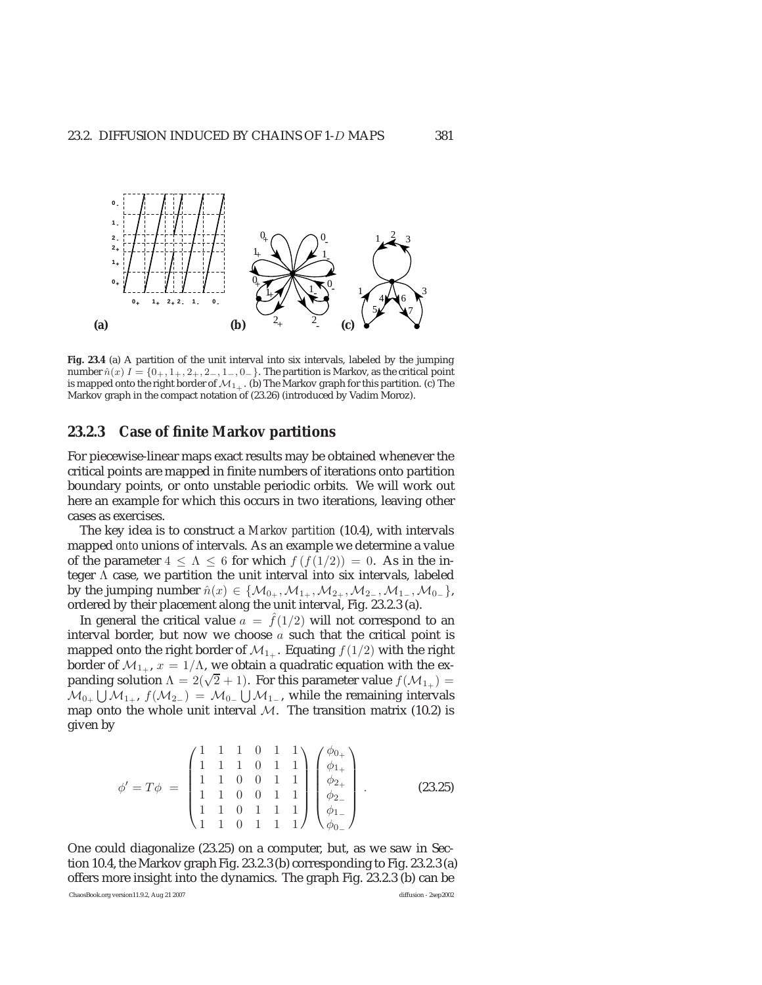

**Fig. 23.4** (a) A partition of the unit interval into six intervals, labeled by the jumping number  $\hat{n}(x) I = \{0_+, 1_+, 2_+, 2_-, 1_-, 0_-\}$ . The partition is Markov, as the critical point is mapped onto the right border of  $\mathcal{M}_{1+}$ . (b) The Markov graph for this partition. (c) The Markov graph in the compact notation of (23.26) (introduced by Vadim Moroz).

#### **23.2.3 Case of finite Markov partitions**

For piecewise-linear maps exact results may be obtained whenever the critical points are mapped in finite numbers of iterations onto partition boundary points, or onto unstable periodic orbits. We will work out here an example for which this occurs in two iterations, leaving other cases as exercises.

The key idea is to construct a *Markov partition* (10.4), with intervals mapped *onto* unions of intervals. As an example we determine a value of the parameter  $4 \leq \Lambda \leq 6$  for which  $f(f(1/2)) = 0$ . As in the integer  $\Lambda$  case, we partition the unit interval into six intervals, labeled by the jumping number  $\hat{n}(x) \in \{M_{0+}, M_{1+}, M_{2+}, M_{2-}, M_{1-}, M_{0-}\},$ ordered by their placement along the unit interval, Fig. 23.2.3 (a).

In general the critical value  $a = f(1/2)$  will not correspond to an interval border, but now we choose  $a$  such that the critical point is mapped onto the right border of  $\mathcal{M}_{1+}$ . Equating  $f(1/2)$  with the right border of  $\mathcal{M}_{1+}$ ,  $x = 1/\Lambda$ , we obtain a quadratic equation with the expanding solution  $\Lambda = 2(\sqrt{2} + 1)$ . For this parameter value  $f(\mathcal{M}_{1+}) =$  $\mathcal{M}_{0_+}\bigcup\mathcal{M}_{1_+},\ f(\mathcal{M}_{2_-})\ =\ \mathcal{M}_{0_-}\bigcup\mathcal{M}_{1_-},$  while the remaining intervals map onto the whole unit interval  $M$ . The transition matrix (10.2) is given by

$$
\phi' = T\phi = \begin{pmatrix} 1 & 1 & 1 & 0 & 1 & 1 \\ 1 & 1 & 1 & 0 & 1 & 1 \\ 1 & 1 & 0 & 0 & 1 & 1 \\ 1 & 1 & 0 & 0 & 1 & 1 \\ 1 & 1 & 0 & 1 & 1 & 1 \\ 1 & 1 & 0 & 1 & 1 & 1 \end{pmatrix} \begin{pmatrix} \phi_{0+} \\ \phi_{1+} \\ \phi_{2+} \\ \phi_{2-} \\ \phi_{1-} \end{pmatrix} .
$$
 (23.25)

One could diagonalize (23.25) on a computer, but, as we saw in Section 10.4, the Markov graph Fig. 23.2.3 (b) corresponding to Fig. 23.2.3 (a) offers more insight into the dynamics. The graph Fig. 23.2.3 (b) can be

ChaosBook.org version11.9.2, Aug 21 2007 diffusion - 2sep2002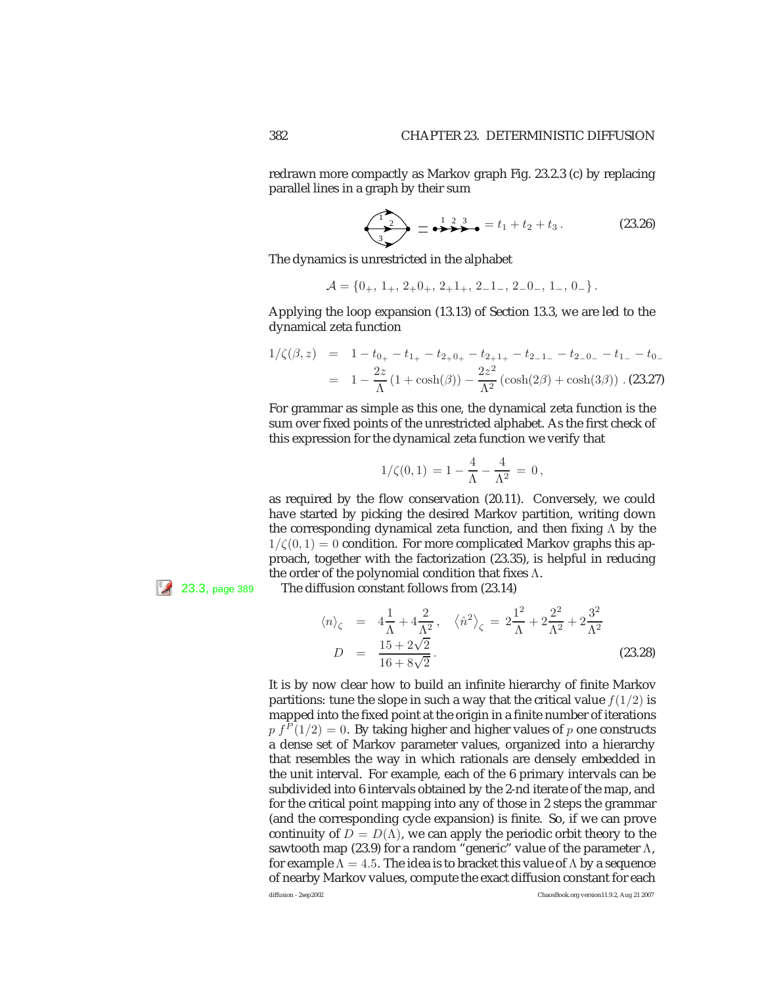redrawn more compactly as Markov graph Fig. 23.2.3 (c) by replacing parallel lines in a graph by their sum

$$
\underbrace{12}_{3} = \underbrace{123}_{3} = t_1 + t_2 + t_3. \tag{23.26}
$$

The dynamics is unrestricted in the alphabet

$$
\mathcal{A} = \{0_+, 1_+, 2_+0_+, 2_+1_+, 2_-1_-, 2_-0_-, 1_-, 0_-\}.
$$

Applying the loop expansion (13.13) of Section 13.3, we are led to the dynamical zeta function

$$
1/\zeta(\beta, z) = 1 - t_{0+} - t_{1+} - t_{2+0+} - t_{2+1+} - t_{2-1-} - t_{2-0-} - t_{1-} - t_{0-}
$$
  
= 
$$
1 - \frac{2z}{\Lambda} (1 + \cosh(\beta)) - \frac{2z^2}{\Lambda^2} (\cosh(2\beta) + \cosh(3\beta)) .
$$
 (23.27)

For grammar as simple as this one, the dynamical zeta function is the sum over fixed points of the unrestricted alphabet. As the first check of this expression for the dynamical zeta function we verify that

$$
1/\zeta(0,1) = 1 - \frac{4}{\Lambda} - \frac{4}{\Lambda^2} = 0,
$$

as required by the flow conservation (20.11). Conversely, we could have started by picking the desired Markov partition, writing down the corresponding dynamical zeta function, and then fixing  $\Lambda$  by the  $1/\zeta(0, 1) = 0$  condition. For more complicated Markov graphs this approach, together with the factorization (23.35), is helpful in reducing the order of the polynomial condition that fixes  $\Lambda$ .

 $\mathbb{Z}$  23.3, page 389 The diffusion constant follows from (23.14)

$$
\langle n \rangle_{\zeta} = 4\frac{1}{\Lambda} + 4\frac{2}{\Lambda^2}, \quad \langle \hat{n}^2 \rangle_{\zeta} = 2\frac{1^2}{\Lambda} + 2\frac{2^2}{\Lambda^2} + 2\frac{3^2}{\Lambda^2}
$$
  

$$
D = \frac{15 + 2\sqrt{2}}{16 + 8\sqrt{2}}.
$$
 (23.28)

It is by now clear how to build an infinite hierarchy of finite Markov partitions: tune the slope in such a way that the critical value  $f(1/2)$  is mapped into the fixed point at the origin in a finite number of iterations  $p f<sup>P</sup>(1/2) = 0$ . By taking higher and higher values of p one constructs a dense set of Markov parameter values, organized into a hierarchy that resembles the way in which rationals are densely embedded in the unit interval. For example, each of the 6 primary intervals can be subdivided into 6 intervals obtained by the 2-nd iterate of the map, and for the critical point mapping into any of those in 2 steps the grammar (and the corresponding cycle expansion) is finite. So, if we can prove continuity of  $D = D(\Lambda)$ , we can apply the periodic orbit theory to the sawtooth map (23.9) for a random "generic" value of the parameter  $\Lambda$ , for example  $\Lambda=4.5$ . The idea is to bracket this value of  $\Lambda$  by a sequence of nearby Markov values, compute the exact diffusion constant for each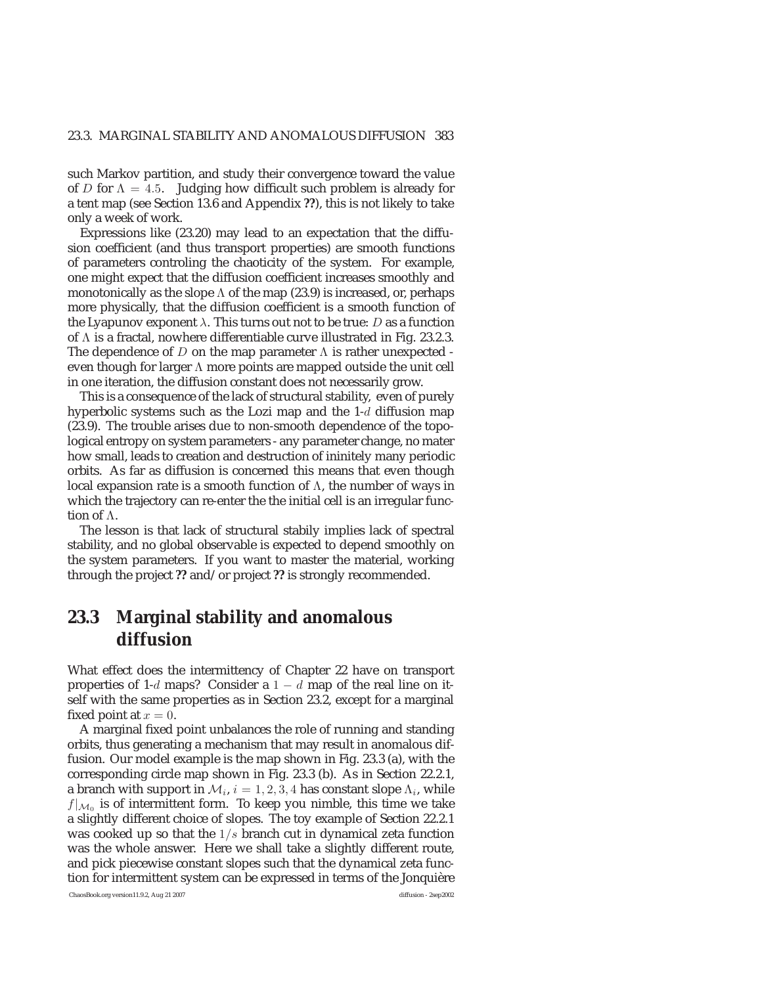such Markov partition, and study their convergence toward the value of D for  $\Lambda = 4.5$ . Judging how difficult such problem is already for a tent map (see Section 13.6 and Appendix **??**), this is not likely to take only a week of work.

Expressions like (23.20) may lead to an expectation that the diffusion coefficient (and thus transport properties) are smooth functions of parameters controling the chaoticity of the system. For example, one might expect that the diffusion coefficient increases smoothly and monotonically as the slope  $\Lambda$  of the map (23.9) is increased, or, perhaps more physically, that the diffusion coefficient is a smooth function of the Lyapunov exponent  $\lambda$ . This turns out not to be true: D as a function of Λ is a fractal, nowhere differentiable curve illustrated in Fig. 23.2.3. The dependence of  $D$  on the map parameter  $\Lambda$  is rather unexpected even though for larger  $\Lambda$  more points are mapped outside the unit cell in one iteration, the diffusion constant does not necessarily grow.

This is a consequence of the lack of structural stability, even of purely hyperbolic systems such as the Lozi map and the 1-d diffusion map (23.9). The trouble arises due to non-smooth dependence of the topological entropy on system parameters - any parameter change, no mater how small, leads to creation and destruction of ininitely many periodic orbits. As far as diffusion is concerned this means that even though local expansion rate is a smooth function of Λ, the number of ways in which the trajectory can re-enter the the initial cell is an irregular function of Λ.

The lesson is that lack of structural stabily implies lack of spectral stability, and no global observable is expected to depend smoothly on the system parameters. If you want to master the material, working through the project **??** and/or project **??** is strongly recommended.

## **23.3 Marginal stability and anomalous diffusion**

What effect does the intermittency of Chapter 22 have on transport properties of 1-d maps? Consider a  $1 - d$  map of the real line on itself with the same properties as in Section 23.2, except for a marginal fixed point at  $x = 0$ .

A marginal fixed point unbalances the role of running and standing orbits, thus generating a mechanism that may result in anomalous diffusion. Our model example is the map shown in Fig. 23.3 (a), with the corresponding circle map shown in Fig. 23.3 (b). As in Section 22.2.1, a branch with support in  $\mathcal{M}_i$ ,  $i = 1, 2, 3, 4$  has constant slope  $\Lambda_i$ , while  $f|_{\mathcal{M}_0}$  is of intermittent form. To keep you nimble, this time we take a slightly different choice of slopes. The toy example of Section 22.2.1 was cooked up so that the  $1/s$  branch cut in dynamical zeta function was the whole answer. Here we shall take a slightly different route, and pick piecewise constant slopes such that the dynamical zeta function for intermittent system can be expressed in terms of the Jonquière

ChaosBook.org version11.9.2, Aug 21 2007 diffusion - 2sep2002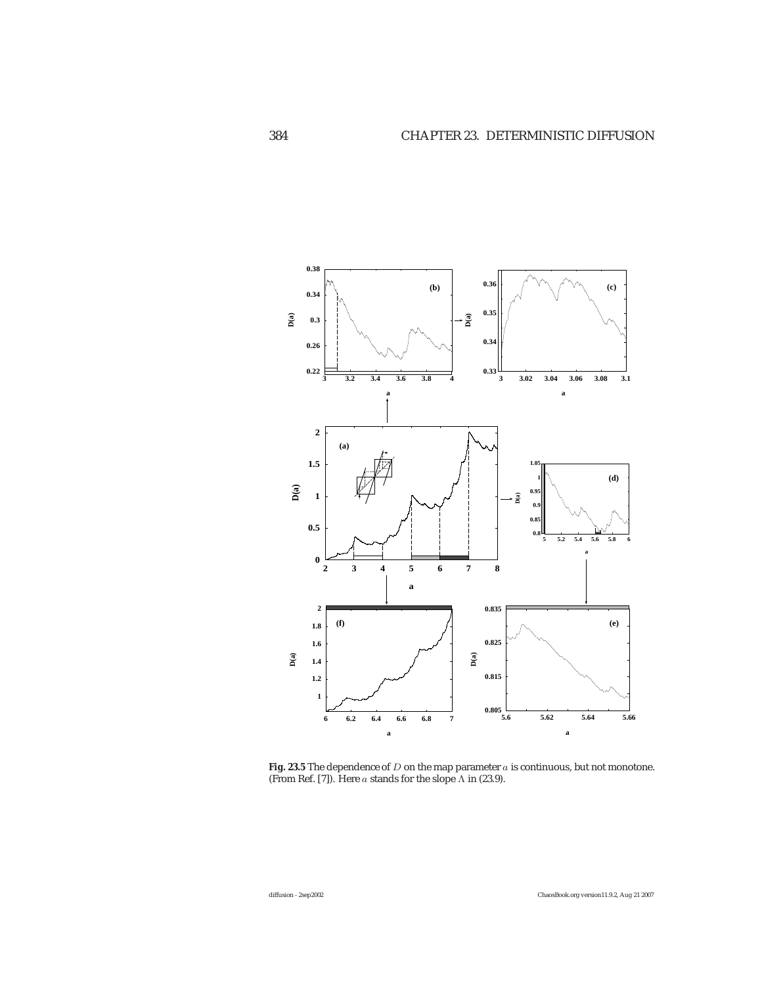

Fig. 23.5 The dependence of  $D$  on the map parameter  $a$  is continuous, but not monotone. (From Ref. [7]). Here a stands for the slope  $\Lambda$  in (23.9).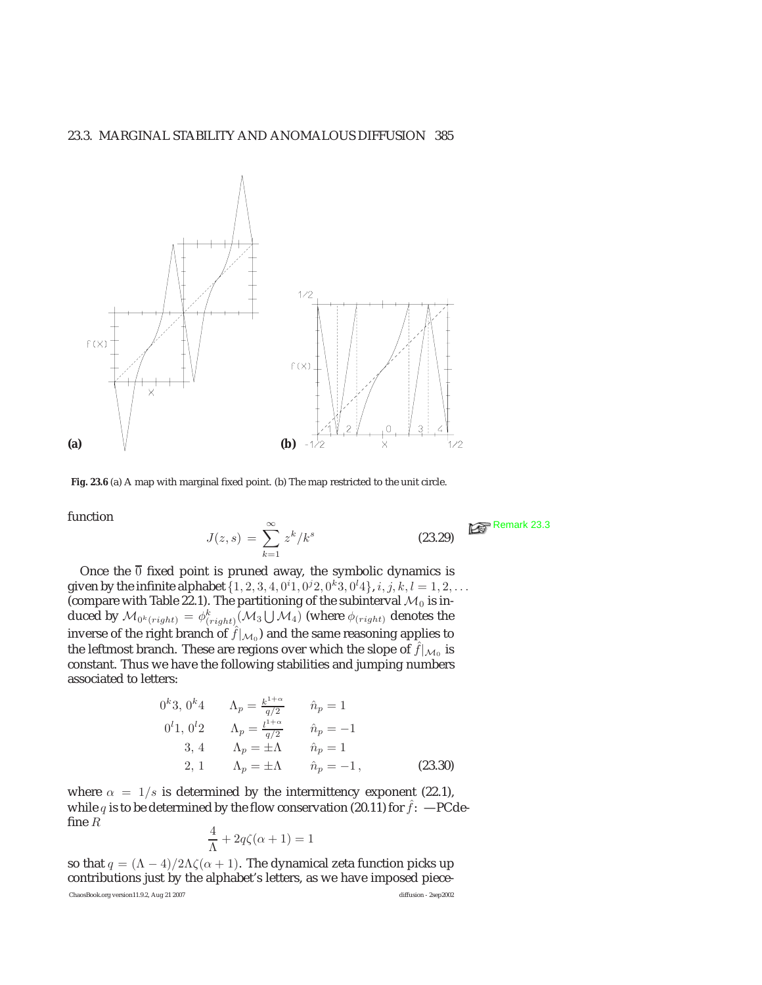

Fig. 23.6 (a) A map with marginal fixed point. (b) The map restricted to the unit circle.

function  

$$
J(z,s) = \sum_{k=1}^{\infty} z^k / k^s
$$
 (23.29)

Once the  $\overline{0}$  fixed point is pruned away, the symbolic dynamics is given by the infinite alphabet  $\{1, 2, 3, 4, 0^i 1, 0^j 2, 0^k 3, 0^l 4\}, i, j, k, l = 1, 2, \ldots$ (compare with Table 22.1). The partitioning of the subinterval  $\mathcal{M}_0$  is induced by  $\mathcal{M}_{0^k(right)}=\phi^k_{(right)}(\mathcal{M}_3\bigcup \mathcal{M}_4)$  (where  $\phi_{(right)}$  denotes the inverse of the right branch of  $\hat{f}|_{\mathcal{M}_0}$  and the same reasoning applies to the leftmost branch. These are regions over which the slope of  $\hat{f}|_{\mathcal{M}_0}$  is constant. Thus we have the following stabilities and jumping numbers associated to letters:

0<sup>k</sup>3, 0<sup>k</sup>4 
$$
\Lambda_p = \frac{k^{1+\alpha}}{q/2}
$$
  $\hat{n}_p = 1$   
\n0<sup>l</sup>1, 0<sup>l</sup>2  $\Lambda_p = \frac{l^{1+\alpha}}{q/2}$   $\hat{n}_p = -1$   
\n3, 4  $\Lambda_p = \pm \Lambda$   $\hat{n}_p = 1$   
\n2, 1  $\Lambda_p = \pm \Lambda$   $\hat{n}_p = -1$ , (23.30)

where  $\alpha = 1/s$  is determined by the intermittency exponent (22.1), while q is to be determined by the flow conservation (20.11) for  $\hat{f}$ : -PCdefine  $R$ 

$$
\frac{4}{\Lambda} + 2q\zeta(\alpha + 1) = 1
$$

so that  $q = (\Lambda - 4)/2\Lambda\zeta(\alpha + 1)$ . The dynamical zeta function picks up contributions just by the alphabet's letters, as we have imposed piece-ChaosBook.org version11.9.2, Aug 21 2007 diffusion - 2sep2002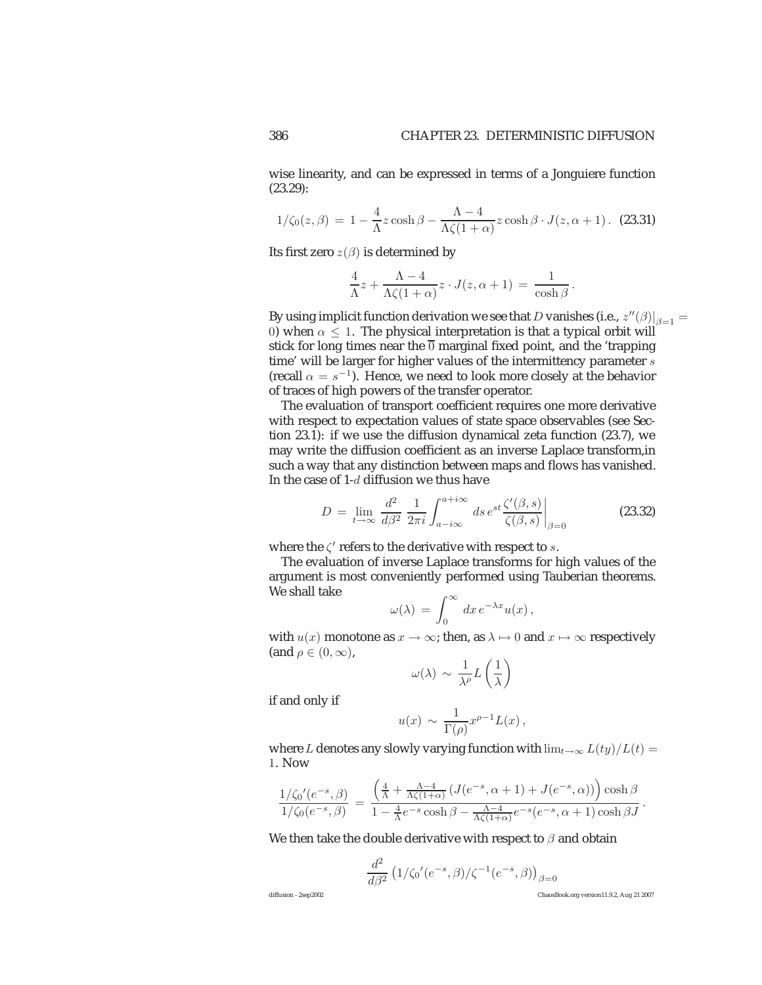wise linearity, and can be expressed in terms of a Jonguiere function (23.29):

$$
1/\zeta_0(z,\beta) = 1 - \frac{4}{\Lambda}z\cosh\beta - \frac{\Lambda - 4}{\Lambda\zeta(1+\alpha)}z\cosh\beta \cdot J(z,\alpha+1).
$$
 (23.31)

Its first zero  $z(\beta)$  is determined by

$$
\frac{4}{\Lambda}z + \frac{\Lambda - 4}{\Lambda \zeta (1 + \alpha)} z \cdot J(z, \alpha + 1) = \frac{1}{\cosh \beta}.
$$

By using implicit function derivation we see that  $D$  vanishes (i.e.,  $\left.z''(\beta)\right|_{\beta=1} =$ 0) when  $\alpha \leq 1$ . The physical interpretation is that a typical orbit will stick for long times near the  $\overline{0}$  marginal fixed point, and the 'trapping' time' will be larger for higher values of the intermittency parameter  $s$ (recall  $\alpha = s^{-1}$ ). Hence, we need to look more closely at the behavior of traces of high powers of the transfer operator.

The evaluation of transport coefficient requires one more derivative with respect to expectation values of state space observables (see Section 23.1): if we use the diffusion dynamical zeta function (23.7), we may write the diffusion coefficient as an inverse Laplace transform,in such a way that any distinction between maps and flows has vanished. In the case of 1-d diffusion we thus have

$$
D = \lim_{t \to \infty} \frac{d^2}{d\beta^2} \frac{1}{2\pi i} \int_{a - i\infty}^{a + i\infty} ds \, e^{st} \frac{\zeta'(\beta, s)}{\zeta(\beta, s)} \bigg|_{\beta = 0}
$$
 (23.32)

where the  $\zeta'$  refers to the derivative with respect to s.

The evaluation of inverse Laplace transforms for high values of the argument is most conveniently performed using Tauberian theorems. We shall take

$$
\omega(\lambda) = \int_0^\infty dx \, e^{-\lambda x} u(x) \, ,
$$

with  $u(x)$  monotone as  $x \to \infty$ ; then, as  $\lambda \mapsto 0$  and  $x \mapsto \infty$  respectively (and  $\rho \in (0, \infty)$ ,

$$
\omega(\lambda) \sim \frac{1}{\lambda^{\rho}} L\left(\frac{1}{\lambda}\right)
$$

if and only if

$$
u(x) \sim \frac{1}{\Gamma(\rho)} x^{\rho-1} L(x) ,
$$

where L denotes any slowly varying function with  $\lim_{t\to\infty} L(ty)/L(t) =$ 1. Now

$$
\frac{1/\zeta_0'(e^{-s},\beta)}{1/\zeta_0(e^{-s},\beta)} = \frac{\left(\frac{4}{\Lambda} + \frac{\Lambda - 4}{\Lambda\zeta(1+\alpha)}\left(J(e^{-s},\alpha+1) + J(e^{-s},\alpha)\right)\right)\cosh\beta}{1 - \frac{4}{\Lambda}e^{-s}\cosh\beta - \frac{\Lambda - 4}{\Lambda\zeta(1+\alpha)}e^{-s}(e^{-s},\alpha+1)\cosh\beta J}.
$$

We then take the double derivative with respect to  $\beta$  and obtain

$$
\frac{d^2}{d\beta^2}\left({1}/{\zeta_0}'(e^{-s},\beta)/\zeta^{-1}(e^{-s},\beta)\right)_{\beta=0}
$$

diffusion - 2sep2002 ChaosBook.org version11.9.2, Aug 21 2007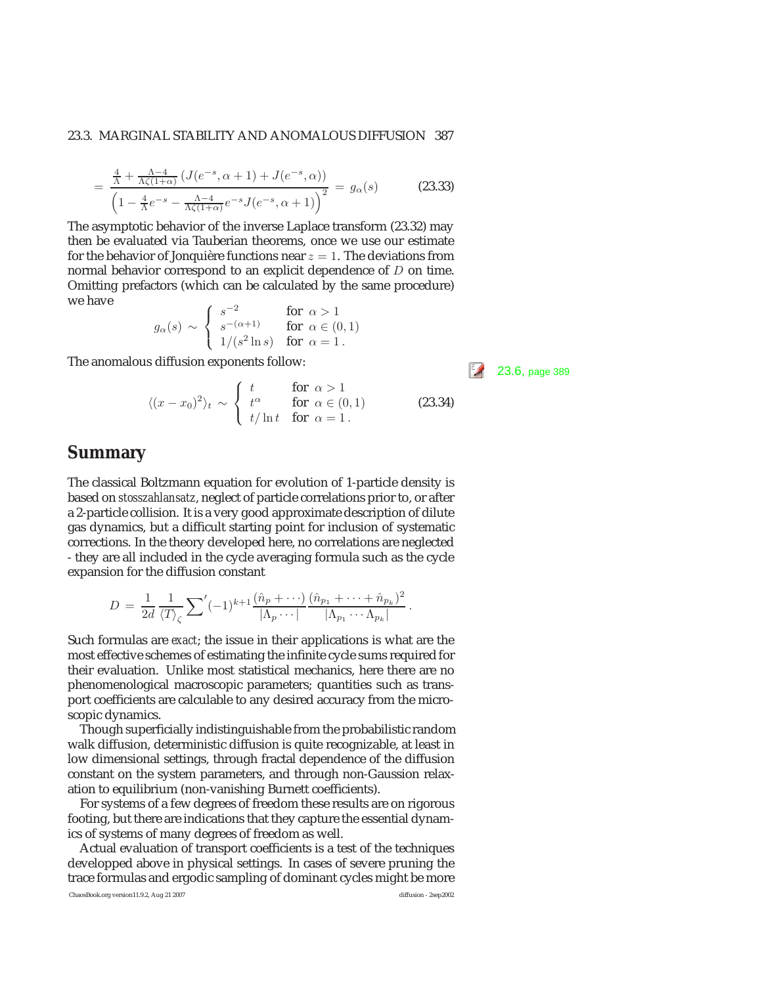#### 23.3. MARGINAL STABILITY AND ANOMALOUS DIFFUSION 387

$$
= \frac{\frac{4}{\Lambda} + \frac{\Lambda - 4}{\Lambda \zeta (1 + \alpha)} \left( J(e^{-s}, \alpha + 1) + J(e^{-s}, \alpha) \right)}{\left( 1 - \frac{4}{\Lambda} e^{-s} - \frac{\Lambda - 4}{\Lambda \zeta (1 + \alpha)} e^{-s} J(e^{-s}, \alpha + 1) \right)^2} = g_\alpha(s)
$$
(23.33)

The asymptotic behavior of the inverse Laplace transform (23.32) may then be evaluated via Tauberian theorems, once we use our estimate for the behavior of Jonquière functions near  $z = 1$ . The deviations from normal behavior correspond to an explicit dependence of  $D$  on time. Omitting prefactors (which can be calculated by the same procedure) we have  $\lambda$ 

$$
g_\alpha(s) \, \sim \, \left\{ \begin{array}{ll} s^{-2} & \text{for} \;\; \alpha > 1 \\ s^{-(\alpha+1)} & \text{for} \;\; \alpha \in (0,1) \\ 1/(s^2 \ln s) & \text{for} \;\; \alpha = 1 \, . \end{array} \right.
$$

The anomalous diffusion exponents follow:  $\begin{bmatrix} 5 \end{bmatrix}$  23.6, page 389

$$
\langle (x - x_0)^2 \rangle_t \sim \begin{cases} t & \text{for } \alpha > 1 \\ t^{\alpha} & \text{for } \alpha \in (0, 1) \\ t/\ln t & \text{for } \alpha = 1. \end{cases}
$$
 (23.34)

#### **Summary**

=

The classical Boltzmann equation for evolution of 1-particle density is based on *stosszahlansatz*, neglect of particle correlations prior to, or after a 2-particle collision. It is a very good approximate description of dilute gas dynamics, but a difficult starting point for inclusion of systematic corrections. In the theory developed here, no correlations are neglected - they are all included in the cycle averaging formula such as the cycle expansion for the diffusion constant

$$
D = \frac{1}{2d} \frac{1}{\langle T \rangle_{\zeta}} \sum' (-1)^{k+1} \frac{(\hat{n}_p + \cdots)}{|\Lambda_p \cdots|} \frac{(\hat{n}_{p_1} + \cdots + \hat{n}_{p_k})^2}{|\Lambda_{p_1} \cdots \Lambda_{p_k}|}.
$$

Such formulas are *exact*; the issue in their applications is what are the most effective schemes of estimating the infinite cycle sums required for their evaluation. Unlike most statistical mechanics, here there are no phenomenological macroscopic parameters; quantities such as transport coefficients are calculable to any desired accuracy from the microscopic dynamics.

Though superficially indistinguishable from the probabilistic random walk diffusion, deterministic diffusion is quite recognizable, at least in low dimensional settings, through fractal dependence of the diffusion constant on the system parameters, and through non-Gaussion relaxation to equilibrium (non-vanishing Burnett coefficients).

For systems of a few degrees of freedom these results are on rigorous footing, but there are indications that they capture the essential dynamics of systems of many degrees of freedom as well.

Actual evaluation of transport coefficients is a test of the techniques developped above in physical settings. In cases of severe pruning the trace formulas and ergodic sampling of dominant cycles might be more

ChaosBook.org version11.9.2, Aug 21 2007 diffusion - 2sep2002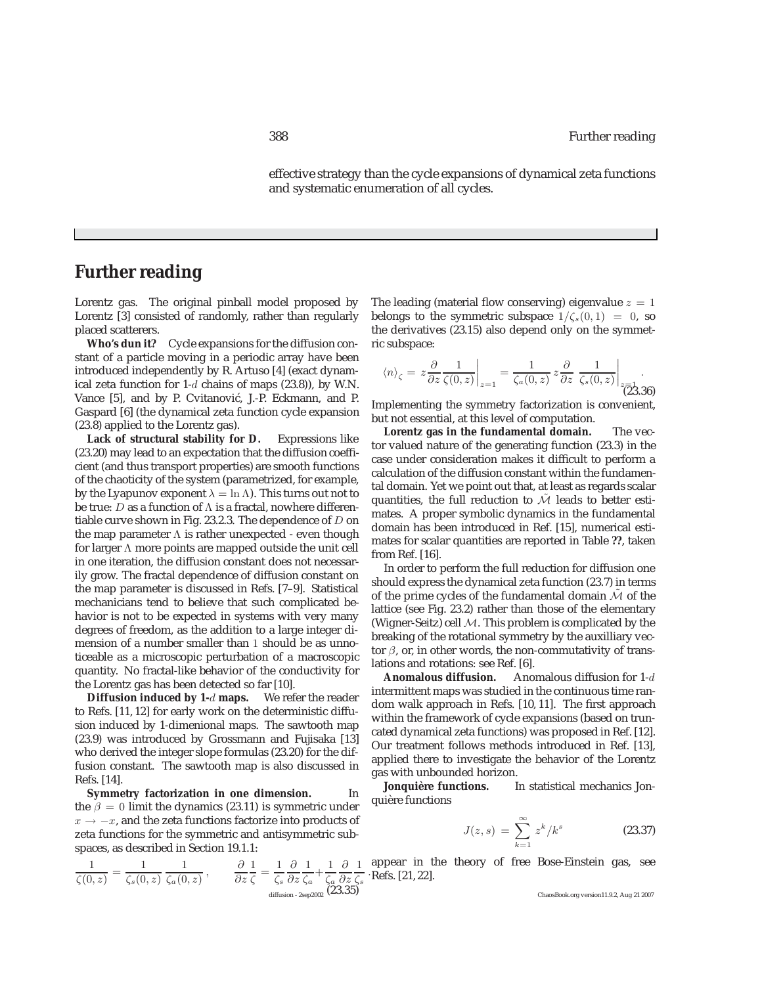effective strategy than the cycle expansions of dynamical zeta functions and systematic enumeration of all cycles.

#### **Further reading**

Lorentz gas. The original pinball model proposed by Lorentz [3] consisted of randomly, rather than regularly placed scatterers.

**Who's dun it?** Cycle expansions for the diffusion constant of a particle moving in a periodic array have been introduced independently by R. Artuso [4] (exact dynamical zeta function for  $1-d$  chains of maps (23.8)), by W.N. Vance [5], and by P. Cvitanović, J.-P. Eckmann, and P. Gaspard [6] (the dynamical zeta function cycle expansion (23.8) applied to the Lorentz gas).

**Lack of structural stability for D.** Expressions like (23.20) may lead to an expectation that the diffusion coefficient (and thus transport properties) are smooth functions of the chaoticity of the system (parametrized, for example, by the Lyapunov exponent  $\lambda = \ln \Lambda$ ). This turns out not to be true: D as a function of  $\Lambda$  is a fractal, nowhere differentiable curve shown in Fig. 23.2.3. The dependence of  $D$  on the map parameter  $\Lambda$  is rather unexpected - even though for larger Λ more points are mapped outside the unit cell in one iteration, the diffusion constant does not necessarily grow. The fractal dependence of diffusion constant on the map parameter is discussed in Refs. [7–9]. Statistical mechanicians tend to believe that such complicated behavior is not to be expected in systems with very many degrees of freedom, as the addition to a large integer dimension of a number smaller than 1 should be as unnoticeable as a microscopic perturbation of a macroscopic quantity. No fractal-like behavior of the conductivity for the Lorentz gas has been detected so far [10].

**Diffusion induced by 1-**d **maps.** We refer the reader to Refs. [11, 12] for early work on the deterministic diffusion induced by 1-dimenional maps. The sawtooth map (23.9) was introduced by Grossmann and Fujisaka [13] who derived the integer slope formulas (23.20) for the diffusion constant. The sawtooth map is also discussed in Refs. [14].

**Symmetry factorization in one dimension.** In the  $\beta = 0$  limit the dynamics (23.11) is symmetric under  $x \rightarrow -x$ , and the zeta functions factorize into products of zeta functions for the symmetric and antisymmetric subspaces, as described in Section 19.1.1:

$$
\frac{1}{\zeta(0,z)} = \frac{1}{\zeta_s(0,z)} \, \frac{1}{\zeta_a(0,z)} \,, \qquad \frac{\partial}{\partial z} \frac{1}{\zeta} = \frac{1}{\zeta_s} \frac{\partial}{\partial z} \frac{1}{\zeta_a} + \frac{1}{\zeta_a} \frac{\partial}{\partial z} \frac{1}{\zeta_s}
$$
\n
$$
\liminf_{\text{diffusion } z \text{ is equal}} \frac{\partial}{\partial z} \frac{1}{\zeta_s}
$$

The leading (material flow conserving) eigenvalue  $z = 1$ belongs to the symmetric subspace  $1/\zeta_s(0,1) = 0$ , so the derivatives (23.15) also depend only on the symmetric subspace:

$$
\langle n \rangle_{\zeta} = z \frac{\partial}{\partial z} \frac{1}{\zeta(0, z)} \bigg|_{z=1} = \frac{1}{\zeta_a(0, z)} z \frac{\partial}{\partial z} \frac{1}{\zeta_s(0, z)} \bigg|_{z=0}.
$$

Implementing the symmetry factorization is convenient, but not essential, at this level of computation.

**Lorentz gas in the fundamental domain.** The vector valued nature of the generating function (23.3) in the case under consideration makes it difficult to perform a calculation of the diffusion constant within the fundamental domain. Yet we point out that, at least as regards scalar quantities, the full reduction to  $\tilde{\mathcal{M}}$  leads to better estimates. A proper symbolic dynamics in the fundamental domain has been introduced in Ref. [15], numerical estimates for scalar quantities are reported in Table **??**, taken from Ref. [16].

In order to perform the full reduction for diffusion one should express the dynamical zeta function (23.7) in terms of the prime cycles of the fundamental domain  $\mathcal M$  of the lattice (see Fig. 23.2) rather than those of the elementary (Wigner-Seitz) cell  $M$ . This problem is complicated by the breaking of the rotational symmetry by the auxilliary vector  $\beta$ , or, in other words, the non-commutativity of translations and rotations: see Ref. [6].<br>Anomalous diffusion. Ano

Anomalous diffusion for 1-d intermittent maps was studied in the continuous time random walk approach in Refs. [10, 11]. The first approach within the framework of cycle expansions (based on truncated dynamical zeta functions) was proposed in Ref. [12]. Our treatment follows methods introduced in Ref. [13], applied there to investigate the behavior of the Lorentz gas with unbounded horizon.

**Jonquière functions.** In statistical mechanics Jonquière functions

$$
J(z,s) = \sum_{k=1}^{\infty} z^k / k^s
$$
 (23.37)

. Refs. [21, 22]. appear in the theory of free Bose-Einstein gas, see

ChaosBook.org version11.9.2, Aug 21 2007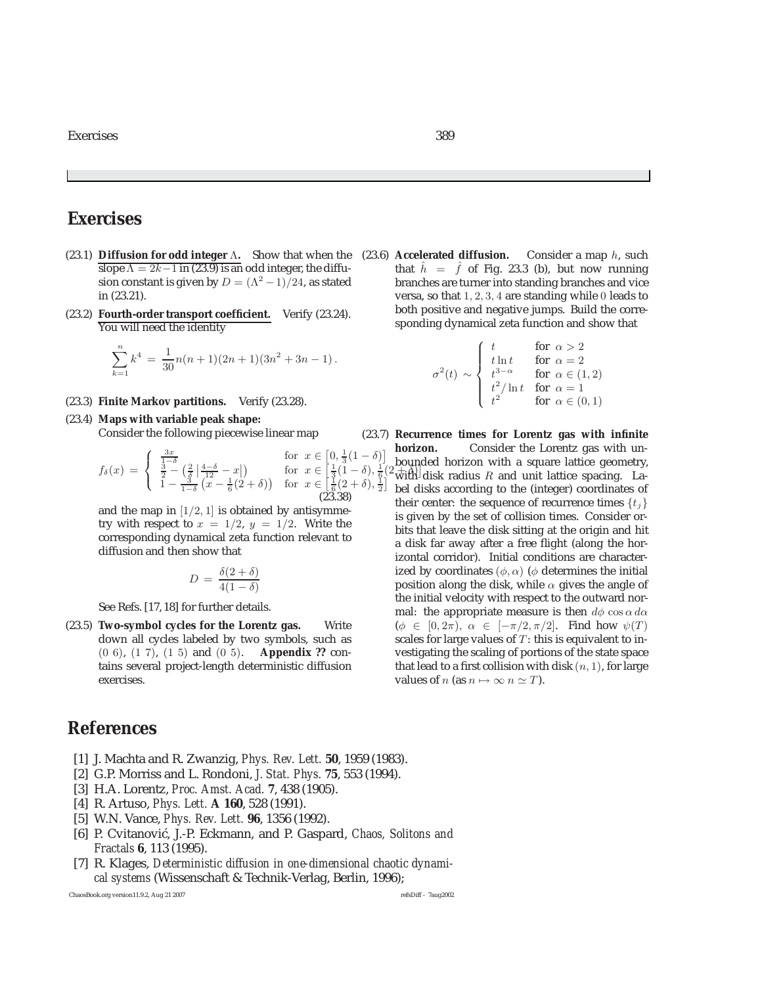- (23.1) **Diffusion for odd integer**  $\Lambda$ . Show that when the (23.6) **Accelerated diffusion.** Consider a map h, such slope  $\Lambda = 2k 1$  in (23.0) is an odd integer the diffusion that  $\hat{h} = -\hat{f}$  of Fig. 23.3 (b) but now r slope  $\Lambda = 2k-1$  in (23.9) is an odd integer, the diffusion constant is given by  $D = (\Lambda^2 - 1)/24$ , as stated in (23.21).
- (23.2) **Fourth-order transport coefficient.** Verify (23.24). You will need the identity

$$
\sum_{k=1}^{n} k^4 = \frac{1}{30}n(n+1)(2n+1)(3n^2+3n-1).
$$

- (23.3) **Finite Markov partitions.** Verify (23.28).
- (23.4) **Maps with variable peak shape:**

Consider the following piecewise linear map

$$
f_{\delta}(x) = \begin{cases} \frac{3x}{1-\delta} & \text{for } x \in [0, \frac{1}{3}(1-\delta)]\\ \frac{3}{2} - \left(\frac{2}{\delta} \left| \frac{4-\delta}{12} - x \right| \right) & \text{for } x \in \left[\frac{1}{3}(1-\delta), \frac{1}{6}(1-\delta)\right] \\ 1 - \frac{3}{1-\delta} \left(x - \frac{1}{6}(2+\delta)\right) & \text{for } x \in \left[\frac{1}{6}(2+\delta), \frac{1}{2}\right] \\ (23.38) & \end{cases}
$$

and the map in  $[1/2, 1]$  is obtained by antisymmetry with respect to  $x = 1/2$ ,  $y = 1/2$ . Write the corresponding dynamical zeta function relevant to diffusion and then show that

$$
D = \frac{\delta(2+\delta)}{4(1-\delta)}
$$

See Refs. [17, 18] for further details.

(23.5) **Two-symbol cycles for the Lorentz gas.** Write down all cycles labeled by two symbols, such as (0 6), (1 7), (1 5) and (0 5). **Appendix ??** contains several project-length deterministic diffusion exercises.

### **References**

- [1] J. Machta and R. Zwanzig, *Phys. Rev. Lett.* **50**, 1959 (1983).
- [2] G.P. Morriss and L. Rondoni, *J. Stat. Phys.* **75**, 553 (1994).
- [3] H.A. Lorentz, *Proc. Amst. Acad.* **7**, 438 (1905).
- [4] R. Artuso, *Phys. Lett.* **A 160**, 528 (1991).
- [5] W.N. Vance, *Phys. Rev. Lett.* **96**, 1356 (1992).
- [6] P. Cvitanović, J.-P. Eckmann, and P. Gaspard, *Chaos, Solitons and Fractals* **6**, 113 (1995).
- [7] R. Klages, *Deterministic diffusion in one-dimensional chaotic dynamical systems* (Wissenschaft & Technik-Verlag, Berlin, 1996);

ChaosBook.org version11.9.2, Aug 21 2007 refsDiff - 7aug2002

that  $\hat{h} = \hat{f}$  of Fig. 23.3 (b), but now running branches are turner into standing branches and vice versa, so that 1, 2, 3, 4 are standing while 0 leads to both positive and negative jumps. Build the corresponding dynamical zeta function and show that

$$
\sigma^{2}(t) \sim \begin{cases} t & \text{for } \alpha > 2 \\ t \ln t & \text{for } \alpha = 2 \\ t^{3-\alpha} & \text{for } \alpha \in (1,2) \\ t^{2} / \ln t & \text{for } \alpha = 1 \\ t^{2} & \text{for } \alpha \in (0,1) \end{cases}
$$

 $\frac{1}{6}$  (2  $\frac{1}{2}$  with disk radius R and unit lattice spacing. La- $\overline{\phantom{a}}$ (23.7) **Recurrence times for Lorentz gas with infinite horizon.** Consider the Lorentz gas with unbounded horizon with a square lattice geometry, bel disks according to the (integer) coordinates of their center: the sequence of recurrence times  $\{t_i\}$ is given by the set of collision times. Consider orbits that leave the disk sitting at the origin and hit a disk far away after a free flight (along the horizontal corridor). Initial conditions are characterized by coordinates ( $\phi$ ,  $\alpha$ ) ( $\phi$  determines the initial position along the disk, while  $\alpha$  gives the angle of the initial velocity with respect to the outward normal: the appropriate measure is then  $d\phi \cos \alpha \, d\alpha$  $(\phi \in [0, 2\pi), \alpha \in [-\pi/2, \pi/2]$ . Find how  $\psi(T)$ scales for large values of  $T$ : this is equivalent to investigating the scaling of portions of the state space that lead to a first collision with disk  $(n, 1)$ , for large values of *n* (as  $n \mapsto \infty$   $n \simeq T$ ).